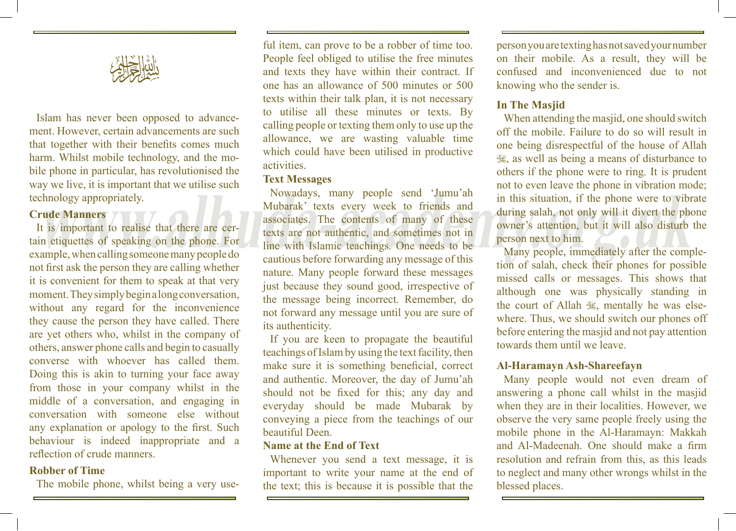

Islam has never been opposed to advancement. However, certain advancements are such that together with their benefits comes much harm. Whilst mobile technology, and the mobile phone in particular, has revolutionised the way we live, it is important that we utilise such technology appropriately.

#### **Crude Manners**

It is important to realise that there are certain etiquettes of speaking on the phone. For example, when calling someone many people do not first ask the person they are calling whether it is convenient for them to speak at that very moment. They simply begin a long conversation, without any regard for the inconvenience they cause the person they have called. There are yet others who, whilst in the company of others, answer phone calls and begin to casually converse with whoever has called them. Doing this is akin to turning your face away from those in your company whilst in the middle of a conversation, and engaging in conversation with someone else without any explanation or apology to the first. Such behaviour is indeed inappropriate and a reflection of crude manners.

# **Robber of Time**

The mobile phone, whilst being a very use-

ful item, can prove to be a robber of time too. People feel obliged to utilise the free minutes and texts they have within their contract. If one has an allowance of 500 minutes or 500 texts within their talk plan, it is not necessary to utilise all these minutes or texts. By calling people or texting them only to use up the allowance, we are wasting valuable time which could have been utilised in productive activities.

## **Text Messages**

enhology appropriately.<br> **which the Manners**<br>
It is important to realise that there are cer-<br>
in etiquettes of speaking on the phone. For<br>
ample, when calling someone many people do<br>
cautious before forwarding any message Nowadays, many people send 'Jumu'ah Mubarak' texts every week to friends and associates. The contents of many of these texts are not authentic, and sometimes not in line with Islamic teachings. One needs to be cautious before forwarding any message of this nature. Many people forward these messages just because they sound good, irrespective of the message being incorrect. Remember, do not forward any message until you are sure of its authenticity.

> If you are keen to propagate the beautiful teachings of Islam by using the text facility, then make sure it is something beneficial, correct and authentic. Moreover, the day of Jumu'ah should not be fixed for this; any day and everyday should be made Mubarak by conveying a piece from the teachings of our beautiful Deen.

### **Name at the End of Text**

Whenever you send a text message, it is important to write your name at the end of the text; this is because it is possible that the

person you are texting has not saved your number on their mobile. As a result, they will be confused and inconvenienced due to not knowing who the sender is.

# **In The Masjid**

When attending the masjid, one should switch off the mobile. Failure to do so will result in one being disrespectful of the house of Allah S, as well as being a means of disturbance to others if the phone were to ring. It is prudent not to even leave the phone in vibration mode; in this situation, if the phone were to vibrate during salah, not only will it divert the phone owner's attention, but it will also disturb the person next to him.

Many people, immediately after the completion of salah, check their phones for possible missed calls or messages. This shows that although one was physically standing in the court of Allah  $\mathcal{L}$ , mentally he was elsewhere. Thus, we should switch our phones off before entering the masjid and not pay attention towards them until we leave.

## **Al-Haramayn Ash-Shareefayn**

Many people would not even dream of answering a phone call whilst in the masjid when they are in their localities. However, we observe the very same people freely using the mobile phone in the Al-Haramayn: Makkah and Al-Madeenah. One should make a firm resolution and refrain from this, as this leads to neglect and many other wrongs whilst in the blessed places.